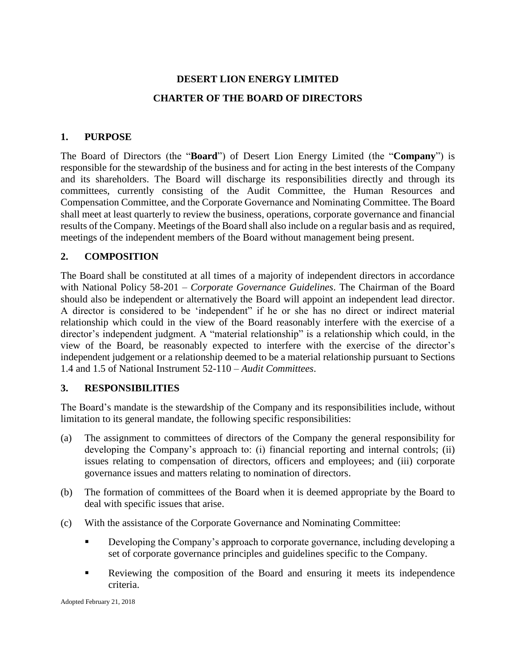# **DESERT LION ENERGY LIMITED CHARTER OF THE BOARD OF DIRECTORS**

# **1. PURPOSE**

The Board of Directors (the "**Board**") of Desert Lion Energy Limited (the "**Company**") is responsible for the stewardship of the business and for acting in the best interests of the Company and its shareholders. The Board will discharge its responsibilities directly and through its committees, currently consisting of the Audit Committee, the Human Resources and Compensation Committee, and the Corporate Governance and Nominating Committee. The Board shall meet at least quarterly to review the business, operations, corporate governance and financial results of the Company. Meetings of the Board shall also include on a regular basis and as required, meetings of the independent members of the Board without management being present.

# **2. COMPOSITION**

The Board shall be constituted at all times of a majority of independent directors in accordance with National Policy 58-201 – *Corporate Governance Guidelines*. The Chairman of the Board should also be independent or alternatively the Board will appoint an independent lead director. A director is considered to be 'independent" if he or she has no direct or indirect material relationship which could in the view of the Board reasonably interfere with the exercise of a director's independent judgment. A "material relationship" is a relationship which could, in the view of the Board, be reasonably expected to interfere with the exercise of the director's independent judgement or a relationship deemed to be a material relationship pursuant to Sections 1.4 and 1.5 of National Instrument 52-110 – *Audit Committees*.

# **3. RESPONSIBILITIES**

The Board's mandate is the stewardship of the Company and its responsibilities include, without limitation to its general mandate, the following specific responsibilities:

- (a) The assignment to committees of directors of the Company the general responsibility for developing the Company's approach to: (i) financial reporting and internal controls; (ii) issues relating to compensation of directors, officers and employees; and (iii) corporate governance issues and matters relating to nomination of directors.
- (b) The formation of committees of the Board when it is deemed appropriate by the Board to deal with specific issues that arise.
- (c) With the assistance of the Corporate Governance and Nominating Committee:
	- **Developing the Company's approach to corporate governance, including developing a** set of corporate governance principles and guidelines specific to the Company.
	- **EXECUTE:** Reviewing the composition of the Board and ensuring it meets its independence criteria.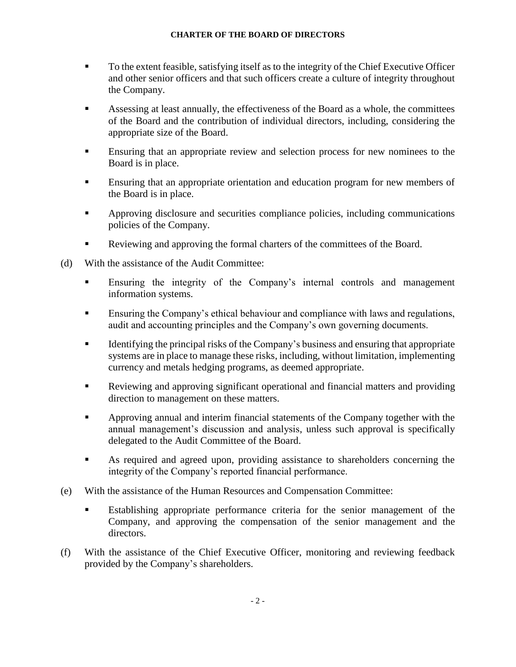- To the extent feasible, satisfying itself as to the integrity of the Chief Executive Officer and other senior officers and that such officers create a culture of integrity throughout the Company.
- Assessing at least annually, the effectiveness of the Board as a whole, the committees of the Board and the contribution of individual directors, including, considering the appropriate size of the Board.
- Ensuring that an appropriate review and selection process for new nominees to the Board is in place.
- Ensuring that an appropriate orientation and education program for new members of the Board is in place.
- Approving disclosure and securities compliance policies, including communications policies of the Company.
- Reviewing and approving the formal charters of the committees of the Board.
- (d) With the assistance of the Audit Committee:
	- Ensuring the integrity of the Company's internal controls and management information systems.
	- Ensuring the Company's ethical behaviour and compliance with laws and regulations, audit and accounting principles and the Company's own governing documents.
	- **EXECUTE:** Identifying the principal risks of the Company's business and ensuring that appropriate systems are in place to manage these risks, including, without limitation, implementing currency and metals hedging programs, as deemed appropriate.
	- Reviewing and approving significant operational and financial matters and providing direction to management on these matters.
	- Approving annual and interim financial statements of the Company together with the annual management's discussion and analysis, unless such approval is specifically delegated to the Audit Committee of the Board.
	- As required and agreed upon, providing assistance to shareholders concerning the integrity of the Company's reported financial performance.
- (e) With the assistance of the Human Resources and Compensation Committee:
	- Establishing appropriate performance criteria for the senior management of the Company, and approving the compensation of the senior management and the directors.
- (f) With the assistance of the Chief Executive Officer, monitoring and reviewing feedback provided by the Company's shareholders.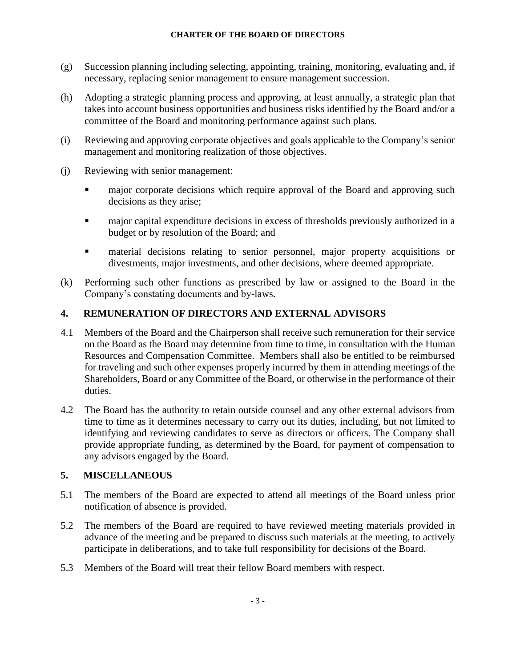- (g) Succession planning including selecting, appointing, training, monitoring, evaluating and, if necessary, replacing senior management to ensure management succession.
- (h) Adopting a strategic planning process and approving, at least annually, a strategic plan that takes into account business opportunities and business risks identified by the Board and/or a committee of the Board and monitoring performance against such plans.
- (i) Reviewing and approving corporate objectives and goals applicable to the Company's senior management and monitoring realization of those objectives.
- (j) Reviewing with senior management:
	- major corporate decisions which require approval of the Board and approving such decisions as they arise;
	- major capital expenditure decisions in excess of thresholds previously authorized in a budget or by resolution of the Board; and
	- **EXECUTE:** material decisions relating to senior personnel, major property acquisitions or divestments, major investments, and other decisions, where deemed appropriate.
- (k) Performing such other functions as prescribed by law or assigned to the Board in the Company's constating documents and by-laws.

# **4. REMUNERATION OF DIRECTORS AND EXTERNAL ADVISORS**

- 4.1 Members of the Board and the Chairperson shall receive such remuneration for their service on the Board as the Board may determine from time to time, in consultation with the Human Resources and Compensation Committee. Members shall also be entitled to be reimbursed for traveling and such other expenses properly incurred by them in attending meetings of the Shareholders, Board or any Committee of the Board, or otherwise in the performance of their duties.
- 4.2 The Board has the authority to retain outside counsel and any other external advisors from time to time as it determines necessary to carry out its duties, including, but not limited to identifying and reviewing candidates to serve as directors or officers. The Company shall provide appropriate funding, as determined by the Board, for payment of compensation to any advisors engaged by the Board.

# **5. MISCELLANEOUS**

- 5.1 The members of the Board are expected to attend all meetings of the Board unless prior notification of absence is provided.
- 5.2 The members of the Board are required to have reviewed meeting materials provided in advance of the meeting and be prepared to discuss such materials at the meeting, to actively participate in deliberations, and to take full responsibility for decisions of the Board.
- 5.3 Members of the Board will treat their fellow Board members with respect.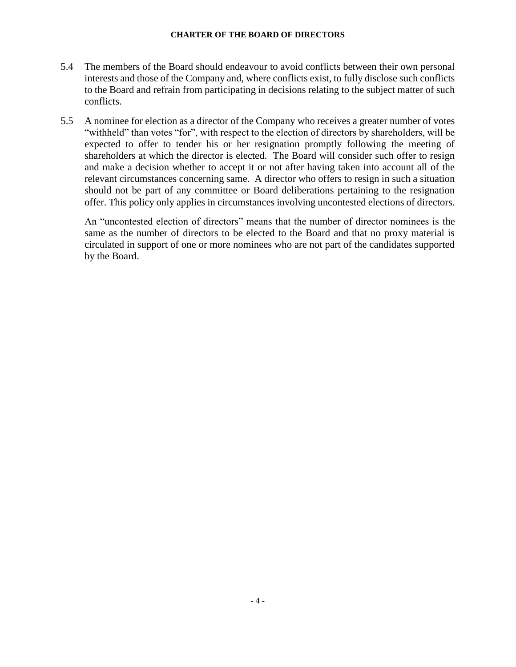- 5.4 The members of the Board should endeavour to avoid conflicts between their own personal interests and those of the Company and, where conflicts exist, to fully disclose such conflicts to the Board and refrain from participating in decisions relating to the subject matter of such conflicts.
- 5.5 A nominee for election as a director of the Company who receives a greater number of votes "withheld" than votes "for", with respect to the election of directors by shareholders, will be expected to offer to tender his or her resignation promptly following the meeting of shareholders at which the director is elected. The Board will consider such offer to resign and make a decision whether to accept it or not after having taken into account all of the relevant circumstances concerning same. A director who offers to resign in such a situation should not be part of any committee or Board deliberations pertaining to the resignation offer. This policy only applies in circumstances involving uncontested elections of directors.

An "uncontested election of directors" means that the number of director nominees is the same as the number of directors to be elected to the Board and that no proxy material is circulated in support of one or more nominees who are not part of the candidates supported by the Board.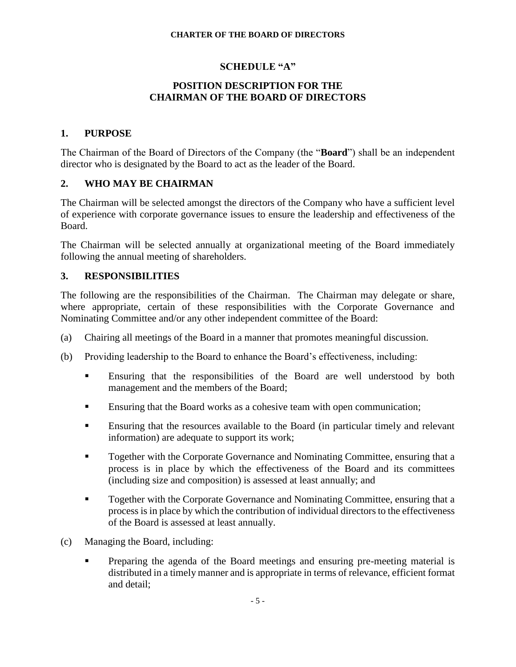## **SCHEDULE "A"**

## **POSITION DESCRIPTION FOR THE CHAIRMAN OF THE BOARD OF DIRECTORS**

### **1. PURPOSE**

The Chairman of the Board of Directors of the Company (the "**Board**") shall be an independent director who is designated by the Board to act as the leader of the Board.

## **2. WHO MAY BE CHAIRMAN**

The Chairman will be selected amongst the directors of the Company who have a sufficient level of experience with corporate governance issues to ensure the leadership and effectiveness of the Board.

The Chairman will be selected annually at organizational meeting of the Board immediately following the annual meeting of shareholders.

## **3. RESPONSIBILITIES**

The following are the responsibilities of the Chairman. The Chairman may delegate or share, where appropriate, certain of these responsibilities with the Corporate Governance and Nominating Committee and/or any other independent committee of the Board:

- (a) Chairing all meetings of the Board in a manner that promotes meaningful discussion.
- (b) Providing leadership to the Board to enhance the Board's effectiveness, including:
	- Ensuring that the responsibilities of the Board are well understood by both management and the members of the Board;
	- Ensuring that the Board works as a cohesive team with open communication;
	- **Ensuring that the resources available to the Board (in particular timely and relevant** information) are adequate to support its work;
	- Together with the Corporate Governance and Nominating Committee, ensuring that a process is in place by which the effectiveness of the Board and its committees (including size and composition) is assessed at least annually; and
	- **Together with the Corporate Governance and Nominating Committee, ensuring that a** process is in place by which the contribution of individual directors to the effectiveness of the Board is assessed at least annually.
- (c) Managing the Board, including:
	- Preparing the agenda of the Board meetings and ensuring pre-meeting material is distributed in a timely manner and is appropriate in terms of relevance, efficient format and detail;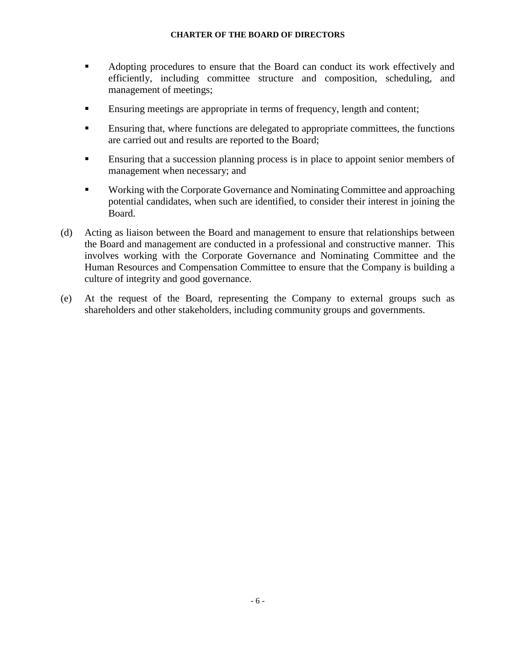- Adopting procedures to ensure that the Board can conduct its work effectively and efficiently, including committee structure and composition, scheduling, and management of meetings;
- Ensuring meetings are appropriate in terms of frequency, length and content;
- Ensuring that, where functions are delegated to appropriate committees, the functions are carried out and results are reported to the Board;
- **Ensuring that a succession planning process is in place to appoint senior members of** management when necessary; and
- Working with the Corporate Governance and Nominating Committee and approaching potential candidates, when such are identified, to consider their interest in joining the Board.
- (d) Acting as liaison between the Board and management to ensure that relationships between the Board and management are conducted in a professional and constructive manner. This involves working with the Corporate Governance and Nominating Committee and the Human Resources and Compensation Committee to ensure that the Company is building a culture of integrity and good governance.
- (e) At the request of the Board, representing the Company to external groups such as shareholders and other stakeholders, including community groups and governments.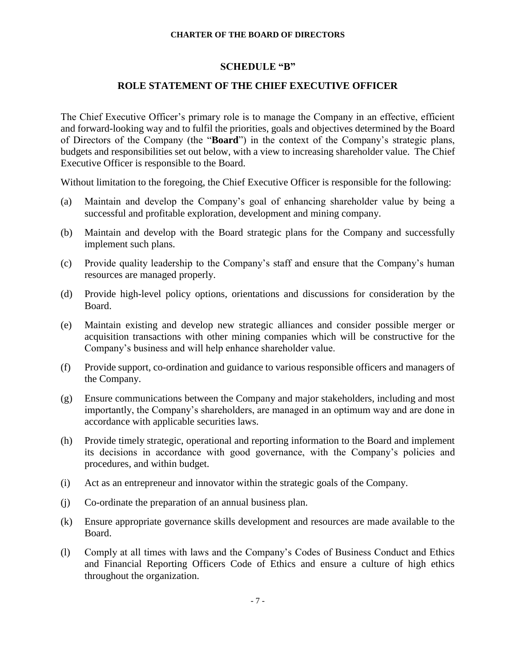#### **SCHEDULE "B"**

## **ROLE STATEMENT OF THE CHIEF EXECUTIVE OFFICER**

The Chief Executive Officer's primary role is to manage the Company in an effective, efficient and forward-looking way and to fulfil the priorities, goals and objectives determined by the Board of Directors of the Company (the "**Board**") in the context of the Company's strategic plans, budgets and responsibilities set out below, with a view to increasing shareholder value. The Chief Executive Officer is responsible to the Board.

Without limitation to the foregoing, the Chief Executive Officer is responsible for the following:

- (a) Maintain and develop the Company's goal of enhancing shareholder value by being a successful and profitable exploration, development and mining company.
- (b) Maintain and develop with the Board strategic plans for the Company and successfully implement such plans.
- (c) Provide quality leadership to the Company's staff and ensure that the Company's human resources are managed properly.
- (d) Provide high-level policy options, orientations and discussions for consideration by the Board.
- (e) Maintain existing and develop new strategic alliances and consider possible merger or acquisition transactions with other mining companies which will be constructive for the Company's business and will help enhance shareholder value.
- (f) Provide support, co-ordination and guidance to various responsible officers and managers of the Company.
- (g) Ensure communications between the Company and major stakeholders, including and most importantly, the Company's shareholders, are managed in an optimum way and are done in accordance with applicable securities laws.
- (h) Provide timely strategic, operational and reporting information to the Board and implement its decisions in accordance with good governance, with the Company's policies and procedures, and within budget.
- (i) Act as an entrepreneur and innovator within the strategic goals of the Company.
- (j) Co-ordinate the preparation of an annual business plan.
- (k) Ensure appropriate governance skills development and resources are made available to the Board.
- (l) Comply at all times with laws and the Company's Codes of Business Conduct and Ethics and Financial Reporting Officers Code of Ethics and ensure a culture of high ethics throughout the organization.